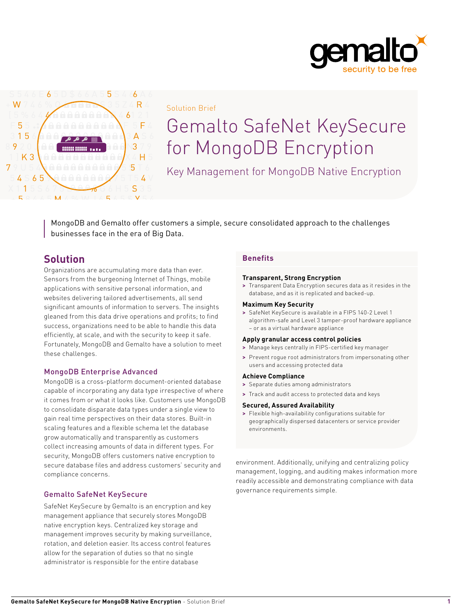



Solution Brief

# Gemalto SafeNet KeySecure for MongoDB Encryption

Key Management for MongoDB Native Encryption

MongoDB and Gemalto offer customers a simple, secure consolidated approach to the challenges businesses face in the era of Big Data.

# **Solution**

Organizations are accumulating more data than ever. Sensors from the burgeoning Internet of Things, mobile applications with sensitive personal information, and websites delivering tailored advertisements, all send significant amounts of information to servers. The insights gleaned from this data drive operations and profits; to find success, organizations need to be able to handle this data efficiently, at scale, and with the security to keep it safe. Fortunately, MongoDB and Gemalto have a solution to meet these challenges.

# MongoDB Enterprise Advanced

MongoDB is a cross-platform document-oriented database capable of incorporating any data type irrespective of where it comes from or what it looks like. Customers use MongoDB to consolidate disparate data types under a single view to gain real time perspectives on their data stores. Built-in scaling features and a flexible schema let the database grow automatically and transparently as customers collect increasing amounts of data in different types. For security, MongoDB offers customers native encryption to secure database files and address customers' security and compliance concerns.

# Gemalto SafeNet KeySecure

SafeNet KeySecure by Gemalto is an encryption and key management appliance that securely stores MongoDB native encryption keys. Centralized key storage and management improves security by making surveillance, rotation, and deletion easier. Its access control features allow for the separation of duties so that no single administrator is responsible for the entire database

# **Benefits**

# **Transparent, Strong Encryption**

**>** Transparent Data Encryption secures data as it resides in the database, and as it is replicated and backed-up.

#### **Maximum Key Security**

**>** SafeNet KeySecure is available in a FIPS 140-2 Level 1 algorithm-safe and Level 3 tamper-proof hardware appliance – or as a virtual hardware appliance

# **Apply granular access control policies**

- **>** Manage keys centrally in FIPS-certified key manager
- **>** Prevent rogue root administrators from impersonating other users and accessing protected data

# **Achieve Compliance**

- **>** Separate duties among administrators
- **>** Track and audit access to protected data and keys

#### **Secured, Assured Availability**

**>** Flexible high-availability configurations suitable for geographically dispersed datacenters or service provider environments.

environment. Additionally, unifying and centralizing policy management, logging, and auditing makes information more readily accessible and demonstrating compliance with data governance requirements simple.